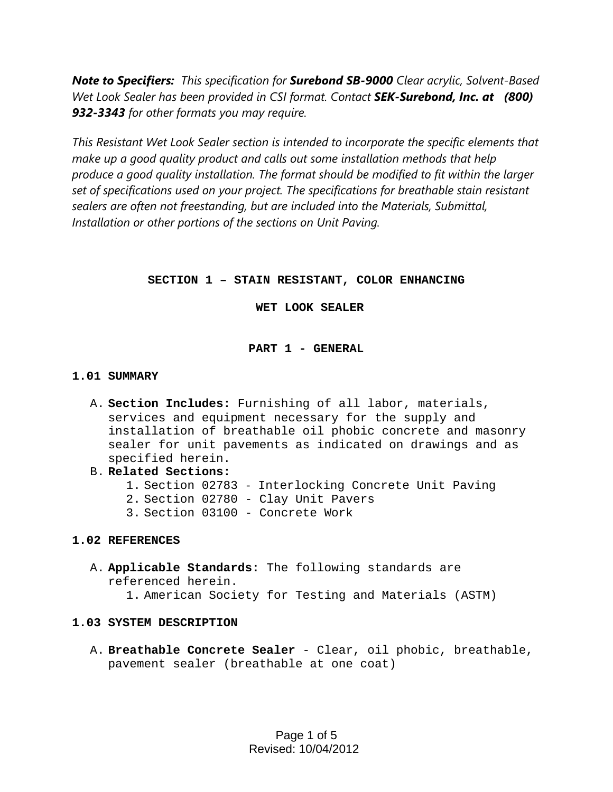*Note to Specifiers: This specification for Surebond SB-9000 Clear acrylic, Solvent-Based Wet Look Sealer has been provided in CSI format. Contact SEK-Surebond, Inc. at (800) 932-3343 for other formats you may require.* 

*This Resistant Wet Look Sealer section is intended to incorporate the specific elements that make up a good quality product and calls out some installation methods that help produce a good quality installation. The format should be modified to fit within the larger set of specifications used on your project. The specifications for breathable stain resistant sealers are often not freestanding, but are included into the Materials, Submittal, Installation or other portions of the sections on Unit Paving.* 

# **SECTION 1 – STAIN RESISTANT, COLOR ENHANCING**

 **WET LOOK SEALER** 

# **PART 1 - GENERAL**

# **1.01 SUMMARY**

- A. **Section Includes:** Furnishing of all labor, materials, services and equipment necessary for the supply and installation of breathable oil phobic concrete and masonry sealer for unit pavements as indicated on drawings and as specified herein.
- B. **Related Sections:**
	- 1. Section 02783 Interlocking Concrete Unit Paving
	- 2. Section 02780 Clay Unit Pavers
	- 3. Section 03100 Concrete Work

# **1.02 REFERENCES**

A. **Applicable Standards:** The following standards are referenced herein.

1. American Society for Testing and Materials (ASTM)

# **1.03 SYSTEM DESCRIPTION**

A. **Breathable Concrete Sealer** - Clear, oil phobic, breathable, pavement sealer (breathable at one coat)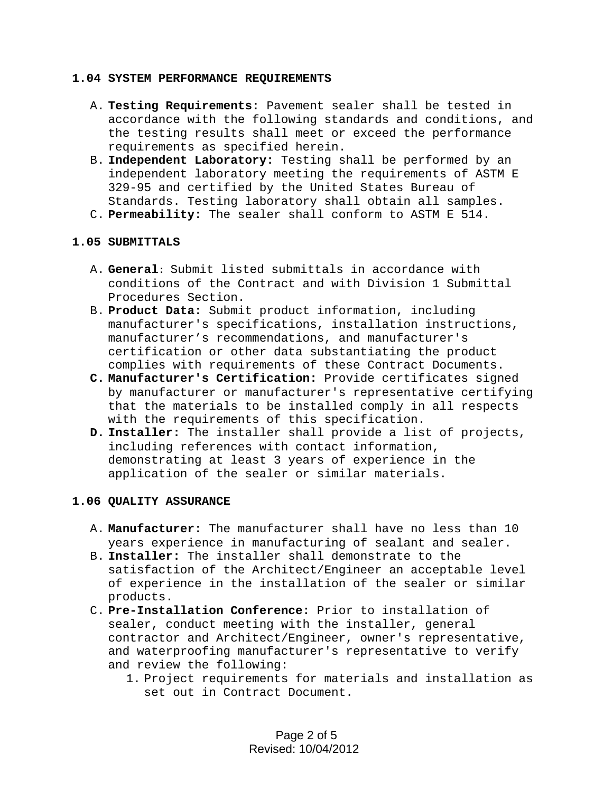#### **1.04 SYSTEM PERFORMANCE REQUIREMENTS**

- A. **Testing Requirements:** Pavement sealer shall be tested in accordance with the following standards and conditions, and the testing results shall meet or exceed the performance requirements as specified herein.
- B. **Independent Laboratory:** Testing shall be performed by an independent laboratory meeting the requirements of ASTM E 329-95 and certified by the United States Bureau of Standards. Testing laboratory shall obtain all samples.
- C. **Permeability:** The sealer shall conform to ASTM E 514.

# **1.05 SUBMITTALS**

- A. **General:** Submit listed submittals in accordance with conditions of the Contract and with Division 1 Submittal Procedures Section.
- B. **Product Data:** Submit product information, including manufacturer's specifications, installation instructions, manufacturer's recommendations, and manufacturer's certification or other data substantiating the product complies with requirements of these Contract Documents.
- **C. Manufacturer's Certification:** Provide certificates signed by manufacturer or manufacturer's representative certifying that the materials to be installed comply in all respects with the requirements of this specification.
- **D. Installer:** The installer shall provide a list of projects, including references with contact information, demonstrating at least 3 years of experience in the application of the sealer or similar materials.

# **1.06 QUALITY ASSURANCE**

- A. **Manufacturer:** The manufacturer shall have no less than 10 years experience in manufacturing of sealant and sealer.
- B. **Installer:** The installer shall demonstrate to the satisfaction of the Architect/Engineer an acceptable level of experience in the installation of the sealer or similar products.
- C. **Pre-Installation Conference:** Prior to installation of sealer, conduct meeting with the installer, general contractor and Architect/Engineer, owner's representative, and waterproofing manufacturer's representative to verify and review the following:
	- 1. Project requirements for materials and installation as set out in Contract Document.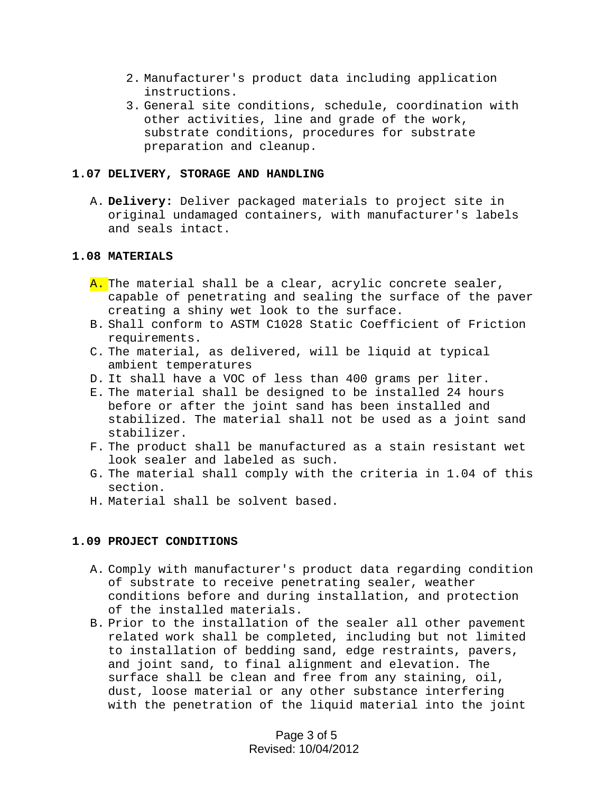- 2. Manufacturer's product data including application instructions.
- 3. General site conditions, schedule, coordination with other activities, line and grade of the work, substrate conditions, procedures for substrate preparation and cleanup.

#### **1.07 DELIVERY, STORAGE AND HANDLING**

A. **Delivery:** Deliver packaged materials to project site in original undamaged containers, with manufacturer's labels and seals intact.

#### **1.08 MATERIALS**

- A. The material shall be a clear, acrylic concrete sealer, capable of penetrating and sealing the surface of the paver creating a shiny wet look to the surface.
- B. Shall conform to ASTM C1028 Static Coefficient of Friction requirements.
- C. The material, as delivered, will be liquid at typical ambient temperatures
- D. It shall have a VOC of less than 400 grams per liter.
- E. The material shall be designed to be installed 24 hours before or after the joint sand has been installed and stabilized. The material shall not be used as a joint sand stabilizer.
- F. The product shall be manufactured as a stain resistant wet look sealer and labeled as such.
- G. The material shall comply with the criteria in 1.04 of this section.
- H. Material shall be solvent based.

# **1.09 PROJECT CONDITIONS**

- A. Comply with manufacturer's product data regarding condition of substrate to receive penetrating sealer, weather conditions before and during installation, and protection of the installed materials.
- B. Prior to the installation of the sealer all other pavement related work shall be completed, including but not limited to installation of bedding sand, edge restraints, pavers, and joint sand, to final alignment and elevation. The surface shall be clean and free from any staining, oil, dust, loose material or any other substance interfering with the penetration of the liquid material into the joint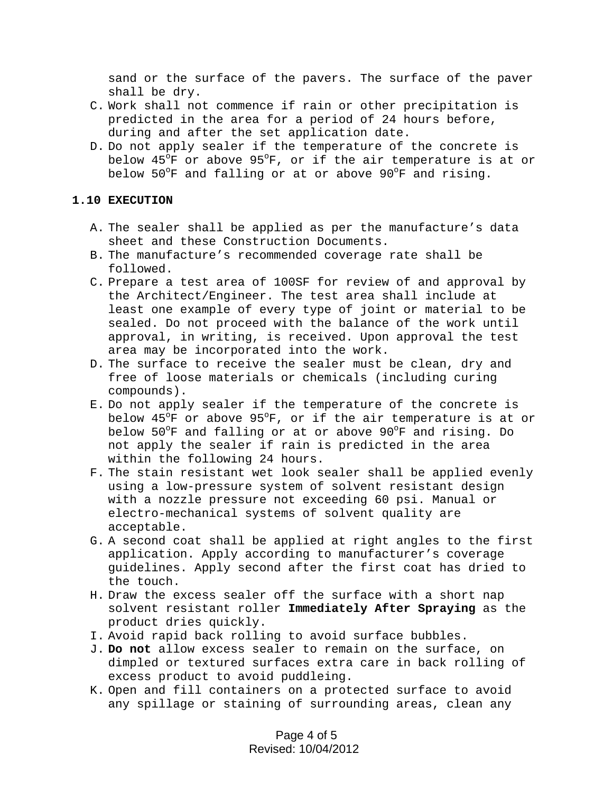sand or the surface of the pavers. The surface of the paver shall be dry.

- C. Work shall not commence if rain or other precipitation is predicted in the area for a period of 24 hours before, during and after the set application date.
- D. Do not apply sealer if the temperature of the concrete is below 45°F or above 95°F, or if the air temperature is at or below 50°F and falling or at or above 90°F and rising.

#### **1.10 EXECUTION**

- A. The sealer shall be applied as per the manufacture's data sheet and these Construction Documents.
- B. The manufacture's recommended coverage rate shall be followed.
- C. Prepare a test area of 100SF for review of and approval by the Architect/Engineer. The test area shall include at least one example of every type of joint or material to be sealed. Do not proceed with the balance of the work until approval, in writing, is received. Upon approval the test area may be incorporated into the work.
- D. The surface to receive the sealer must be clean, dry and free of loose materials or chemicals (including curing compounds).
- E. Do not apply sealer if the temperature of the concrete is below 45°F or above 95°F, or if the air temperature is at or below 50°F and falling or at or above 90°F and rising. Do not apply the sealer if rain is predicted in the area within the following 24 hours.
- F. The stain resistant wet look sealer shall be applied evenly using a low-pressure system of solvent resistant design with a nozzle pressure not exceeding 60 psi. Manual or electro-mechanical systems of solvent quality are acceptable.
- G. A second coat shall be applied at right angles to the first application. Apply according to manufacturer's coverage guidelines. Apply second after the first coat has dried to the touch.
- H. Draw the excess sealer off the surface with a short nap solvent resistant roller **Immediately After Spraying** as the product dries quickly.
- I. Avoid rapid back rolling to avoid surface bubbles.
- J. **Do not** allow excess sealer to remain on the surface, on dimpled or textured surfaces extra care in back rolling of excess product to avoid puddleing.
- K. Open and fill containers on a protected surface to avoid any spillage or staining of surrounding areas, clean any